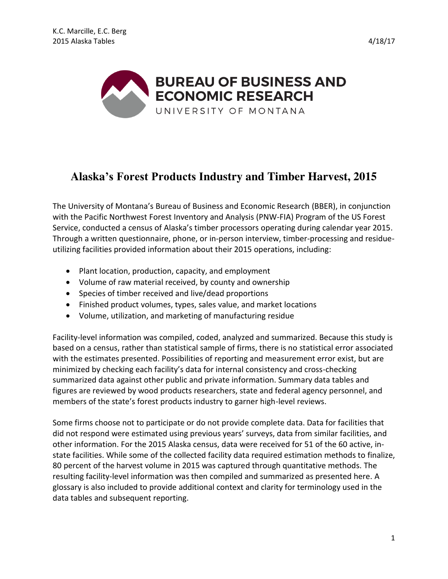



# **Alaska's Forest Products Industry and Timber Harvest, 2015**

The University of Montana's Bureau of Business and Economic Research (BBER), in conjunction with the Pacific Northwest Forest Inventory and Analysis (PNW-FIA) Program of the US Forest Service, conducted a census of Alaska's timber processors operating during calendar year 2015. Through a written questionnaire, phone, or in-person interview, timber-processing and residueutilizing facilities provided information about their 2015 operations, including:

- Plant location, production, capacity, and employment
- Volume of raw material received, by county and ownership
- Species of timber received and live/dead proportions
- Finished product volumes, types, sales value, and market locations
- Volume, utilization, and marketing of manufacturing residue

Facility-level information was compiled, coded, analyzed and summarized. Because this study is based on a census, rather than statistical sample of firms, there is no statistical error associated with the estimates presented. Possibilities of reporting and measurement error exist, but are minimized by checking each facility's data for internal consistency and cross-checking summarized data against other public and private information. Summary data tables and figures are reviewed by wood products researchers, state and federal agency personnel, and members of the state's forest products industry to garner high-level reviews.

Some firms choose not to participate or do not provide complete data. Data for facilities that did not respond were estimated using previous years' surveys, data from similar facilities, and other information. For the 2015 Alaska census, data were received for 51 of the 60 active, instate facilities. While some of the collected facility data required estimation methods to finalize, 80 percent of the harvest volume in 2015 was captured through quantitative methods. The resulting facility-level information was then compiled and summarized as presented here. A glossary is also included to provide additional context and clarity for terminology used in the data tables and subsequent reporting.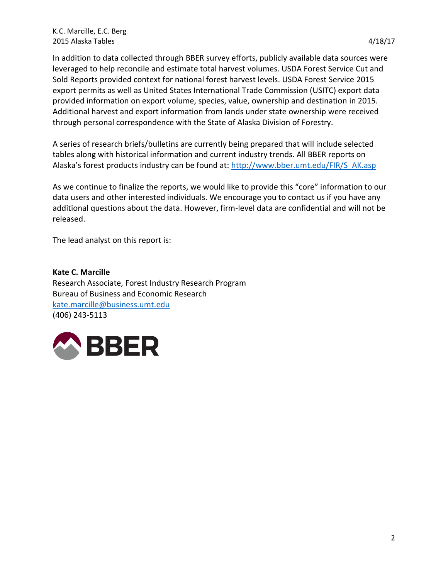In addition to data collected through BBER survey efforts, publicly available data sources were leveraged to help reconcile and estimate total harvest volumes. USDA Forest Service Cut and Sold Reports provided context for national forest harvest levels. USDA Forest Service 2015 export permits as well as United States International Trade Commission (USITC) export data provided information on export volume, species, value, ownership and destination in 2015. Additional harvest and export information from lands under state ownership were received through personal correspondence with the State of Alaska Division of Forestry.

A series of research briefs/bulletins are currently being prepared that will include selected tables along with historical information and current industry trends. All BBER reports on Alaska's forest products industry can be found at: [http://www.bber.umt.edu/FIR/S\\_AK.asp](http://www.bber.umt.edu/FIR/S_AK.asp) 

As we continue to finalize the reports, we would like to provide this "core" information to our data users and other interested individuals. We encourage you to contact us if you have any additional questions about the data. However, firm-level data are confidential and will not be released.

The lead analyst on this report is:

**Kate C. Marcille**  Research Associate, Forest Industry Research Program Bureau of Business and Economic Research [kate.marcille@business.umt.edu](mailto:kate.marcille@business.umt.edu) (406) 243-5113

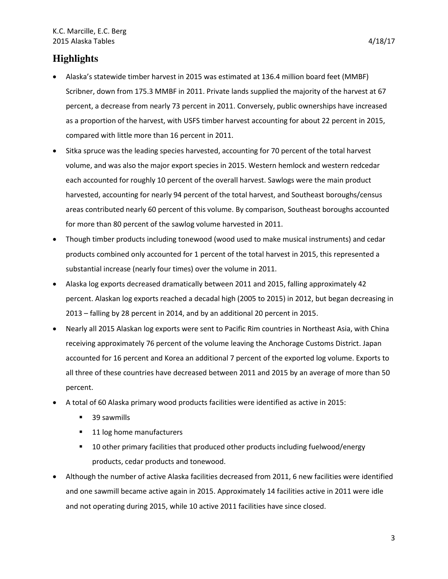# **Highlights**

- Alaska's statewide timber harvest in 2015 was estimated at 136.4 million board feet (MMBF) Scribner, down from 175.3 MMBF in 2011. Private lands supplied the majority of the harvest at 67 percent, a decrease from nearly 73 percent in 2011. Conversely, public ownerships have increased as a proportion of the harvest, with USFS timber harvest accounting for about 22 percent in 2015, compared with little more than 16 percent in 2011.
- Sitka spruce was the leading species harvested, accounting for 70 percent of the total harvest volume, and was also the major export species in 2015. Western hemlock and western redcedar each accounted for roughly 10 percent of the overall harvest. Sawlogs were the main product harvested, accounting for nearly 94 percent of the total harvest, and Southeast boroughs/census areas contributed nearly 60 percent of this volume. By comparison, Southeast boroughs accounted for more than 80 percent of the sawlog volume harvested in 2011.
- Though timber products including tonewood (wood used to make musical instruments) and cedar products combined only accounted for 1 percent of the total harvest in 2015, this represented a substantial increase (nearly four times) over the volume in 2011.
- Alaska log exports decreased dramatically between 2011 and 2015, falling approximately 42 percent. Alaskan log exports reached a decadal high (2005 to 2015) in 2012, but began decreasing in 2013 – falling by 28 percent in 2014, and by an additional 20 percent in 2015.
- Nearly all 2015 Alaskan log exports were sent to Pacific Rim countries in Northeast Asia, with China receiving approximately 76 percent of the volume leaving the Anchorage Customs District. Japan accounted for 16 percent and Korea an additional 7 percent of the exported log volume. Exports to all three of these countries have decreased between 2011 and 2015 by an average of more than 50 percent.
- A total of 60 Alaska primary wood products facilities were identified as active in 2015:
	- 39 sawmills
	- 11 log home manufacturers
	- 10 other primary facilities that produced other products including fuelwood/energy products, cedar products and tonewood.
- Although the number of active Alaska facilities decreased from 2011, 6 new facilities were identified and one sawmill became active again in 2015. Approximately 14 facilities active in 2011 were idle and not operating during 2015, while 10 active 2011 facilities have since closed.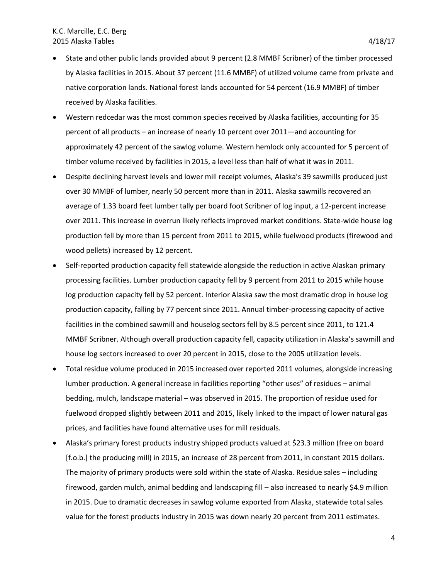- State and other public lands provided about 9 percent (2.8 MMBF Scribner) of the timber processed by Alaska facilities in 2015. About 37 percent (11.6 MMBF) of utilized volume came from private and native corporation lands. National forest lands accounted for 54 percent (16.9 MMBF) of timber received by Alaska facilities.
- Western redcedar was the most common species received by Alaska facilities, accounting for 35 percent of all products – an increase of nearly 10 percent over 2011—and accounting for approximately 42 percent of the sawlog volume. Western hemlock only accounted for 5 percent of timber volume received by facilities in 2015, a level less than half of what it was in 2011.
- Despite declining harvest levels and lower mill receipt volumes, Alaska's 39 sawmills produced just over 30 MMBF of lumber, nearly 50 percent more than in 2011. Alaska sawmills recovered an average of 1.33 board feet lumber tally per board foot Scribner of log input, a 12-percent increase over 2011. This increase in overrun likely reflects improved market conditions. State-wide house log production fell by more than 15 percent from 2011 to 2015, while fuelwood products (firewood and wood pellets) increased by 12 percent.
- Self-reported production capacity fell statewide alongside the reduction in active Alaskan primary processing facilities. Lumber production capacity fell by 9 percent from 2011 to 2015 while house log production capacity fell by 52 percent. Interior Alaska saw the most dramatic drop in house log production capacity, falling by 77 percent since 2011. Annual timber-processing capacity of active facilities in the combined sawmill and houselog sectors fell by 8.5 percent since 2011, to 121.4 MMBF Scribner. Although overall production capacity fell, capacity utilization in Alaska's sawmill and house log sectors increased to over 20 percent in 2015, close to the 2005 utilization levels.
- Total residue volume produced in 2015 increased over reported 2011 volumes, alongside increasing lumber production. A general increase in facilities reporting "other uses" of residues – animal bedding, mulch, landscape material – was observed in 2015. The proportion of residue used for fuelwood dropped slightly between 2011 and 2015, likely linked to the impact of lower natural gas prices, and facilities have found alternative uses for mill residuals.
- Alaska's primary forest products industry shipped products valued at \$23.3 million (free on board [f.o.b.] the producing mill) in 2015, an increase of 28 percent from 2011, in constant 2015 dollars. The majority of primary products were sold within the state of Alaska. Residue sales – including firewood, garden mulch, animal bedding and landscaping fill – also increased to nearly \$4.9 million in 2015. Due to dramatic decreases in sawlog volume exported from Alaska, statewide total sales value for the forest products industry in 2015 was down nearly 20 percent from 2011 estimates.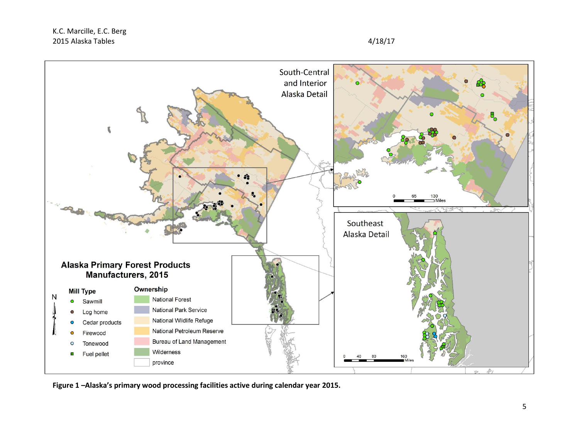

**Figure 1 –Alaska's primary wood processing facilities active during calendar year 2015.**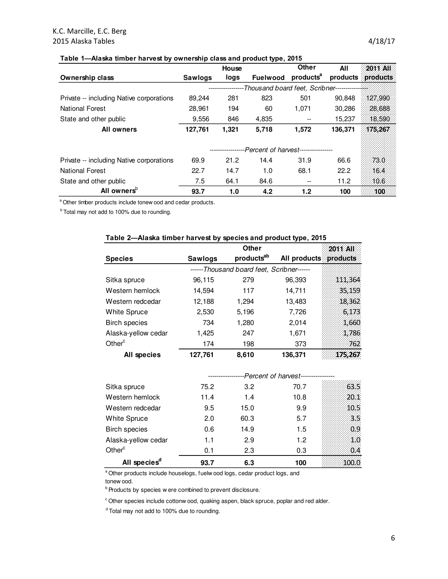# K.C. Marcille, E.C. Berg 2015 Alaska Tables 4/18/17

#### **Table 1—Alaska timber harvest by ownership class and product type, 2015**

|                                          |                | House          |                                         | Other                    | All     | 2011 All          |
|------------------------------------------|----------------|----------------|-----------------------------------------|--------------------------|---------|-------------------|
| <b>Ownership class</b>                   | <b>Sawlogs</b> | logs           | <b>Fuelwood</b>                         | products <sup>a</sup>    |         | products products |
|                                          |                |                | -Thousand board feet, Scribner--------- |                          |         |                   |
| Private -- including Native corporations | 89.244         | 281            | 823                                     | 501                      | 90.848  | 127.990           |
| <b>National Forest</b>                   | 28.961         | 194            | 60                                      | 1,071                    | 30,286  | 28,688            |
| State and other public                   | 9,556          | 846            | 4,835                                   | $\overline{\phantom{m}}$ | 15,237  | 18.590            |
| <b>All owners</b>                        | 127,761        | 1,321          | 5,718                                   | 1,572                    | 136,371 | 175,267           |
|                                          |                |                |                                         |                          |         |                   |
|                                          |                | -------------- | --Percent of harvest----------------    |                          |         |                   |
| Private -- including Native corporations | 69.9           | 21.2           | 14.4                                    | 31.9                     | 66.6    | 73.0              |
| <b>National Forest</b>                   | 22.7           | 14.7           | 1.0                                     | 68.1                     | 22.2    | 16.4              |
| State and other public                   | 7.5            | 64.1           | 84.6                                    |                          | 11.2    | 10.6              |
| All owners <sup>p</sup>                  | 93.7           | 1.0            | 4.2                                     | 1.2                      | 100     | 100               |

<sup>a</sup> Other timber products include tonew ood and cedar products.

 $<sup>b</sup>$  Total may not add to 100% due to rounding.</sup>

| rable z—Alaska ulliber harvest by species and product type, zu ib |                |                                           |              |                 |  |  |  |  |
|-------------------------------------------------------------------|----------------|-------------------------------------------|--------------|-----------------|--|--|--|--|
|                                                                   |                | <b>Other</b>                              |              |                 |  |  |  |  |
| <b>Species</b>                                                    | <b>Sawlogs</b> | products <sup>ab</sup>                    | All products | <b>products</b> |  |  |  |  |
|                                                                   |                | ------Thousand board feet, Scribner------ |              |                 |  |  |  |  |
| Sitka spruce                                                      | 96,115         | 279                                       | 96,393       | 111,364         |  |  |  |  |
| Western hemlock                                                   | 14,594         | 117                                       | 14,711       | 35,159          |  |  |  |  |
| Western redcedar                                                  | 12,188         | 1,294                                     | 13,483       | 18,362          |  |  |  |  |
| <b>White Spruce</b>                                               | 2,530          | 5,196                                     | 7,726        | 6,173           |  |  |  |  |
| <b>Birch species</b>                                              | 734            | 1,280                                     | 2,014        | 1,660           |  |  |  |  |
| Alaska-yellow cedar                                               | 1,425          | 247                                       | 1,671        | 1,786           |  |  |  |  |
| Other <sup>c</sup>                                                | 174            | 198                                       | 373          | 762             |  |  |  |  |
| All species                                                       | 127,761        | 8,610                                     | 136,371      | 175,267         |  |  |  |  |
|                                                                   |                | -Percent of harvest--                     |              |                 |  |  |  |  |
| Sitka spruce                                                      | 75.2           | 3.2                                       | 70.7         | 63.5            |  |  |  |  |

### **Table 2—Alaska timber harvest by species and product type, 2015**

| Sitka spruce             | 75.2 | 3.2  | 70.7 | 63.5  |
|--------------------------|------|------|------|-------|
| Western hemlock          | 11.4 | 1.4  | 10.8 | 20.1  |
| Western redcedar         | 9.5  | 15.0 | 9.9  | -10.5 |
| <b>White Spruce</b>      | 2.0  | 60.3 | 5.7  | - 3.5 |
| <b>Birch species</b>     | 0.6  | 14.9 | 1.5  | - 0.9 |
| Alaska-yellow cedar      | 1.1  | 2.9  | 1.2  | 1.0   |
| Other <sup>c</sup>       | 0.1  | 2.3  | 0.3  | 0 4   |
| All species <sup>d</sup> | 93.7 | 6.3  | 100  |       |

a Other products include houselogs, fuelw ood logs, cedar product logs, and

tonew ood.

 $b$  Products by species w ere combined to prevent disclosure.

 $\degree$  Other species include cottonw ood, quaking aspen, black spruce, poplar and red alder.

<sup>d</sup> Total may not add to 100% due to rounding.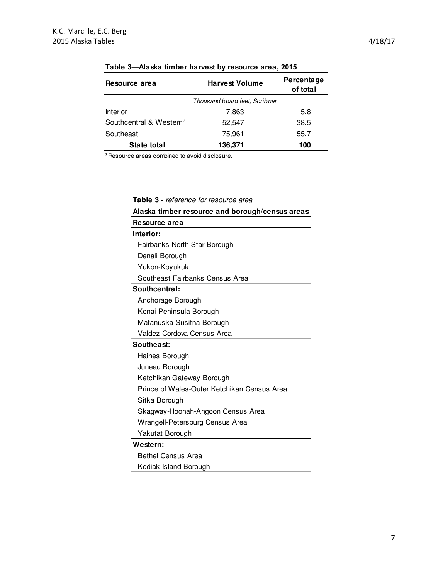| Resource area                       | <b>Harvest Volume</b>         | Percentage<br>of total |
|-------------------------------------|-------------------------------|------------------------|
|                                     | Thousand board feet. Scribner |                        |
| Interior                            | 7,863                         | 5.8                    |
| Southcentral & Western <sup>a</sup> | 52.547                        | 38.5                   |
| Southeast                           | 75.961                        | 55.7                   |
| State total                         | 136,371                       | 100                    |

# **Table 3—Alaska timber harvest by resource area, 2015**

a Resource areas combined to avoid disclosure.

**Table 3 -** reference for resource area

| Alaska timber resource and borough/census areas |
|-------------------------------------------------|
| Resource area                                   |
| Interior:                                       |
| Fairbanks North Star Borough                    |
| Denali Borough                                  |
| Yukon-Koyukuk                                   |
| Southeast Fairbanks Census Area                 |
| Southcentral:                                   |
| Anchorage Borough                               |
| Kenai Peninsula Borough                         |
| Matanuska-Susitna Borough                       |
| Valdez-Cordova Census Area                      |
| Southeast:                                      |
| Haines Borough                                  |
| Juneau Borough                                  |
| Ketchikan Gateway Borough                       |
| Prince of Wales-Outer Ketchikan Census Area     |
| Sitka Borough                                   |
| Skagway-Hoonah-Angoon Census Area               |
| Wrangell-Petersburg Census Area                 |
| Yakutat Borough                                 |
| Western:                                        |
| <b>Bethel Census Area</b>                       |
| Kodiak Island Borough                           |

7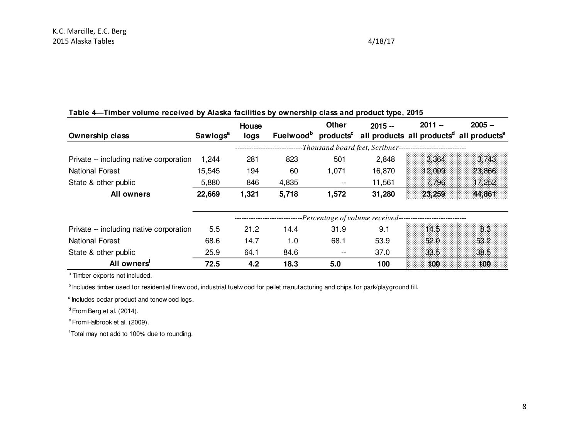| Ownership class                         | Sawlogs <sup>a</sup> | House<br>logs |       | <b>Other</b>             | $2015 -$                                          | $2011 -$                                                    | $2005 -$<br>Fuelwood <sup>b</sup> products <sup>c</sup> all products all products <sup>d</sup> all products <sup>e</sup> |
|-----------------------------------------|----------------------|---------------|-------|--------------------------|---------------------------------------------------|-------------------------------------------------------------|--------------------------------------------------------------------------------------------------------------------------|
|                                         |                      |               |       |                          |                                                   | -Thousand board feet, Scribner----------------------------- |                                                                                                                          |
| Private -- including native corporation | 1,244                | 281           | 823   | 501                      | 2,848                                             | 3.364                                                       | 3.743                                                                                                                    |
| <b>National Forest</b>                  | 15,545               | 194           | 60    | 1,071                    | 16,870                                            | 12.099                                                      | 23.866                                                                                                                   |
| State & other public                    | 5,880                | 846           | 4,835 | $\overline{\phantom{m}}$ | 11,561                                            | 7.796                                                       | 17,252                                                                                                                   |
| <b>All owners</b>                       | 22,669               | 1,321         | 5,718 | 1,572                    | 31,280                                            | 23,259                                                      | 44,861                                                                                                                   |
|                                         |                      |               |       |                          | --Percentage of volume received------------------ |                                                             |                                                                                                                          |
| Private -- including native corporation | 5.5                  | 21.2          | 14.4  | 31.9                     | 9.1                                               | 14.5                                                        | 83                                                                                                                       |
| <b>National Forest</b>                  | 68.6                 | 14.7          | 1.0   | 68.1                     | 53.9                                              | 52.0                                                        | 53.2                                                                                                                     |
| State & other public                    | 25.9                 | 64.1          | 84.6  | $\overline{\phantom{m}}$ | 37.0                                              | 33.5                                                        | 38.5                                                                                                                     |
| All owners <sup>"</sup>                 | 72.5                 | 4.2           | 18.3  | 5.0                      | 100                                               | 100                                                         | 100                                                                                                                      |

# **Table 4—Timber volume received by Alaska facilities by ownership class and product type, 2015**

<sup>a</sup> Timber exports not included.

b Includes timber used for residential firew ood, industrial fuelw ood for pellet manufacturing and chips for park/playground fill.

 $c$  Includes cedar product and tonew ood logs.

 $d$  From Berg et al. (2014).

<sup>e</sup> From Halbrook et al. (2009).

<sup>f</sup>Total may not add to 100% due to rounding.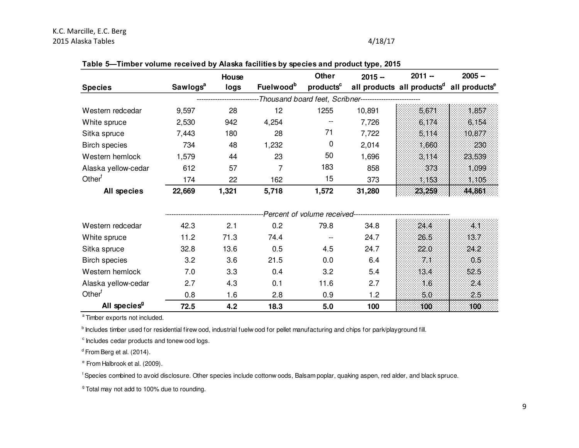# K.C. Marcille, E.C. Berg 2015 Alaska Tables 4/18/17

| <b>Species</b>       | Sawlogs <sup>a</sup> | House<br>logs | Fuelwood <sup>b</sup> | <b>Other</b><br>products <sup>c</sup> | $2015 -$                                                | $2011 -$<br>all products all products <sup>d</sup> all products <sup>e</sup> | $2005 -$ |
|----------------------|----------------------|---------------|-----------------------|---------------------------------------|---------------------------------------------------------|------------------------------------------------------------------------------|----------|
|                      |                      |               |                       |                                       | -Thousand board feet, Scribner------------------------- |                                                                              |          |
| Western redcedar     | 9,597                | 28            | 12                    | 1255                                  | 10,891                                                  | 5.671                                                                        | 1.857    |
| White spruce         | 2,530                | 942           | 4,254                 | $- -$                                 | 7,726                                                   | 6.174                                                                        | 6.154    |
| Sitka spruce         | 7,443                | 180           | 28                    | 71                                    | 7,722                                                   | 5.114.                                                                       | 10.877   |
| <b>Birch species</b> | 734                  | 48            | 1,232                 | 0                                     | 2,014                                                   | 1.660                                                                        | 230      |
| Western hemlock      | 1,579                | 44            | 23                    | 50                                    | 1,696                                                   | 3.114                                                                        | 23.539   |
| Alaska yellow-cedar  | 612                  | 57            | 7                     | 183                                   | 858                                                     | 373                                                                          | 1.099    |
| Other <sup>t</sup>   | 174                  | 22            | 162                   | 15                                    | 373                                                     | 1.153                                                                        | 1.105    |
| All species          | 22,669               | 1,321         | 5,718                 | 1,572                                 | 31,280                                                  | 23,259                                                                       | 44,861   |
|                      |                      |               |                       |                                       |                                                         |                                                                              |          |

#### **Table 5—Timber volume received by Alaska facilities by species and product type, 2015**

|                          |      |      |      | Percent of volume received--- |      |                 |
|--------------------------|------|------|------|-------------------------------|------|-----------------|
| Western redcedar         | 42.3 | 2.1  | 0.2  | 79.8                          | 34.8 | 24.4            |
| White spruce             | 11.2 | 71.3 | 74.4 |                               | 24.7 | 26.5<br>-13 7 - |
| Sitka spruce             | 32.8 | 13.6 | 0.5  | 4.5                           | 24.7 | 22.0<br>24.2    |
| <b>Birch species</b>     | 3.2  | 3.6  | 21.5 | 0.0                           | 6.4  | 0.5             |
| Western hemlock          | 7.0  | 3.3  | 0.4  | 3.2                           | 5.4  | 13.4<br>52.5    |
| Alaska yellow-cedar      | 2.7  | 4.3  | 0.1  | 11.6                          | 2.7  | 2.4             |
| Other <sup>f</sup>       | 0.8  | 1.6  | 2.8  | 0.9                           | 1.2  | 25              |
| All species <sup>9</sup> | 72.5 | 4.2  | 18.3 | 5.0                           | 100  | 100<br>-100     |

a Timber exports not included.

<sup>b</sup> Includes timber used for residential firew ood, industrial fuelw ood for pellet manufacturing and chips for park/playground fill.

 $c$  Includes cedar products and tonew ood logs.

 $d$  From Berg et al. (2014).

e From Halbrook et al. (2009).

<sup>f</sup> Species combined to avoid disclosure. Other species include cottonw oods, Balsam poplar, quaking aspen, red alder, and black spruce.

<sup>9</sup> Total may not add to 100% due to rounding.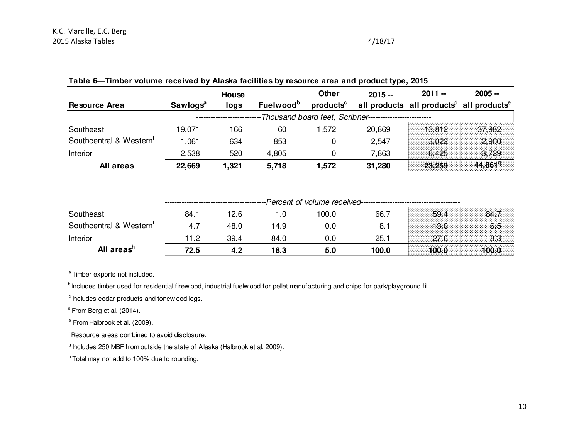| <b>Resource Area</b>                | Sawlogs <sup>a</sup> | House<br>logs | <b>Fuelwood</b> <sup>b</sup> | <b>Other</b><br>products <sup>c</sup> | $2015 -$                                     | $2011 -$<br>all products all products <sup>d</sup> all products <sup>e</sup> | $2005 -$ |
|-------------------------------------|----------------------|---------------|------------------------------|---------------------------------------|----------------------------------------------|------------------------------------------------------------------------------|----------|
|                                     |                      |               |                              |                                       | Thousand board feet, Scribner--------------- |                                                                              |          |
| Southeast                           | 19,071               | 166           | 60                           | 1,572                                 | 20,869                                       | 13.812                                                                       | 37.982   |
| Southcentral & Western <sup>1</sup> | 1,061                | 634           | 853                          | 0                                     | 2,547                                        | 3.022                                                                        | 2.900    |
| Interior                            | 2,538                | 520           | 4,805                        | 0                                     | 7,863                                        | 6.425                                                                        | 3.729    |
| All areas                           | 22,669               | 1,321         | 5,718                        | 1,572                                 | 31,280                                       | 23,259                                                                       | 44,8619  |
|                                     |                      |               |                              | -Percent of volume received--         |                                              |                                                                              |          |
| Southeast                           | 84.1                 | 12.6          | 1.0                          | 100.0                                 | 66.7                                         | 59.4                                                                         | 84.7     |
| Southcentral & Western <sup>1</sup> | 4.7                  | 48.0          | 14.9                         | 0.0                                   | 8.1                                          | 13.0                                                                         | 6.5      |
| Interior                            | 11.2                 | 39.4          | 84.0                         | 0.0                                   | 25.1                                         | 27.6                                                                         | 8.3      |
| All areas <sup>h</sup>              | 72.5                 | 4.2           | 18.3                         | 5.0                                   | 100.0                                        | 100.0                                                                        | 100.0    |

# **Table 6—Timber volume received by Alaska facilities by resource area and product type, 2015**

a Timber exports not included.

<sup>b</sup> Includes timber used for residential firew ood, industrial fuelw ood for pellet manufacturing and chips for park/playground fill.

 $\degree$  Includes cedar products and tonew ood logs.

 $d$  From Berg et al. (2014).

e From Halbrook et al. (2009).

<sup>f</sup> Resource areas combined to avoid disclosure.

<sup>g</sup> Includes 250 MBF from outside the state of Alaska (Halbrook et al. 2009).

 $h$  Total may not add to 100% due to rounding.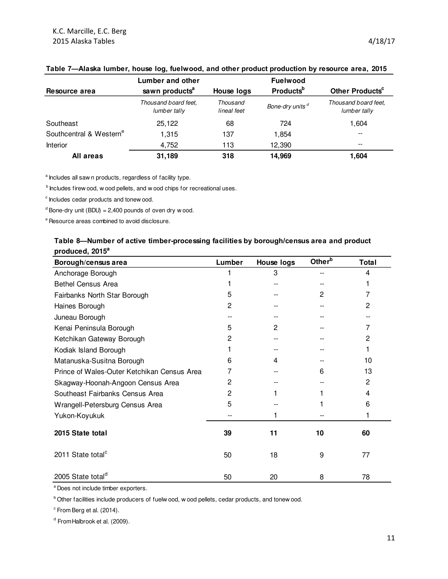|                                     | Lumber and other                     |                                            | <b>Fuelwood</b>             |                                      |  |
|-------------------------------------|--------------------------------------|--------------------------------------------|-----------------------------|--------------------------------------|--|
| Resource area                       | sawn products <sup>a</sup>           | <b>Products</b> <sup>b</sup><br>House logs |                             | Other Products <sup>c</sup>          |  |
|                                     | Thousand board feet.<br>lumber tally | Thousand<br>lineal feet                    | Bone-dry units <sup>d</sup> | Thousand board feet.<br>lumber tally |  |
| Southeast                           | 25,122                               | 68                                         | 724                         | 1,604                                |  |
| Southcentral & Western <sup>e</sup> | 1.315                                | 137                                        | 1.854                       | --                                   |  |
| Interior                            | 4,752                                | 113                                        | 12,390                      | $- -$                                |  |
| All areas                           | 31,189                               | 318                                        | 14,969                      | 1.604                                |  |

#### **Table 7—Alaska lumber, house log, fuelwood, and other product production by resource area, 2015**

<sup>a</sup> Includes all saw n products, regardless of facility type.

b Includes firew ood, w ood pellets, and w ood chips for recreational uses.

 $c$  Includes cedar products and tonew ood.

 $d$  Bone-dry unit (BDU) = 2,400 pounds of oven dry w ood.

 $e$  Resource areas combined to avoid disclosure.

## **Table 8—Number of active timber-processing facilities by borough/census area and product produced, 2015<sup>a</sup>**

| Borough/census area                         | Lumber         | <b>House logs</b> | Other <sup>b</sup> | <b>Total</b> |
|---------------------------------------------|----------------|-------------------|--------------------|--------------|
| Anchorage Borough                           |                | 3                 |                    | 4            |
| <b>Bethel Census Area</b>                   |                |                   |                    |              |
| Fairbanks North Star Borough                | 5              |                   | 2                  | 7            |
| Haines Borough                              | $\overline{c}$ |                   |                    | 2            |
| Juneau Borough                              |                |                   |                    |              |
| Kenai Peninsula Borough                     | 5              | $\overline{c}$    |                    | 7            |
| Ketchikan Gateway Borough                   | 2              |                   |                    | 2            |
| Kodiak Island Borough                       |                |                   |                    |              |
| Matanuska-Susitna Borough                   | 6              | 4                 |                    | 10           |
| Prince of Wales-Outer Ketchikan Census Area | $\prime$       |                   | 6                  | 13           |
| Skagway-Hoonah-Angoon Census Area           | 2              |                   |                    | 2            |
| Southeast Fairbanks Census Area             | 2              |                   |                    | 4            |
| Wrangell-Petersburg Census Area             | 5              |                   |                    | 6            |
| Yukon-Koyukuk                               |                |                   |                    |              |
| 2015 State total                            | 39             | 11                | 10                 | 60           |
| 2011 State total <sup>c</sup>               | 50             | 18                | 9                  | 77           |
| 2005 State total <sup>d</sup>               | 50             | 20                | 8                  | 78           |

<sup>a</sup> Does not include timber exporters.

**b** Other facilities include producers of fuelw ood, w ood pellets, cedar products, and tonew ood.

 $\textdegree$  From Berg et al. (2014).

<sup>d</sup> From Halbrook et al. (2009).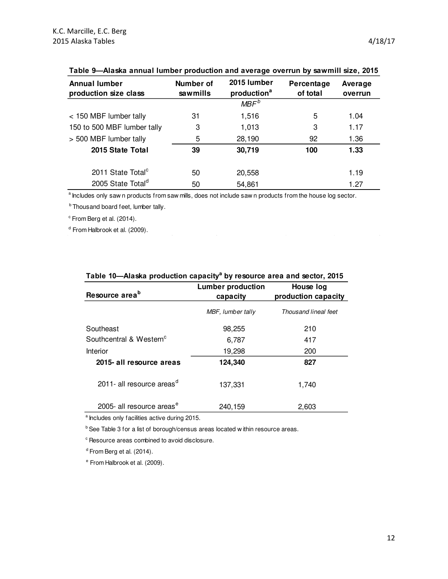| Annual lumber<br>production size class | Number of<br>sawmills | 2015 lumber<br>production <sup>a</sup> | Percentage<br>of total | Average<br>overrun |
|----------------------------------------|-----------------------|----------------------------------------|------------------------|--------------------|
|                                        |                       | MBF <sup>b</sup>                       |                        |                    |
| < 150 MBF lumber tally                 | 31                    | 1,516                                  | 5                      | 1.04               |
| 150 to 500 MBF lumber tally            | 3                     | 1,013                                  | 3                      | 1.17               |
| > 500 MBF lumber tally                 | 5                     | 28,190                                 | 92                     | 1.36               |
| 2015 State Total                       | 39                    | 30,719                                 | 100                    | 1.33               |
| 2011 State Total <sup>c</sup>          | 50                    | 20,558                                 |                        | 1.19               |
| 2005 State Total <sup>d</sup>          | 50                    | 54,861                                 |                        | 1.27               |

### **Table 9—Alaska annual lumber production and average overrun by sawmill size, 2015**

<sup>a</sup> Includes only saw n products from saw mills, does not include saw n products from the house log sector.

 $<sup>b</sup>$  Thousand board feet, lumber tally.</sup>

 $\textdegree$  From Berg et al. (2014).

<sup>d</sup> From Halbrook et al. (2009).

| Resource area <sup>b</sup>            | <b>Lumber production</b><br>capacity | House log<br>production capacity |  |  |
|---------------------------------------|--------------------------------------|----------------------------------|--|--|
|                                       | MBF, lumber tally                    | Thousand lineal feet             |  |  |
| Southeast                             | 98,255                               | 210                              |  |  |
| Southcentral & Western <sup>c</sup>   | 6,787                                | 417                              |  |  |
| Interior                              | 19,298                               | 200                              |  |  |
| 2015- all resource areas              | 124,340                              | 827                              |  |  |
| 2011- all resource areas <sup>d</sup> | 137,331                              | 1,740                            |  |  |
| 2005- all resource areas <sup>e</sup> | 240,159                              | 2,603                            |  |  |

# **Table 10—Alaska production capacity<sup>a</sup> by resource area and sector, 2015**

a Includes only facilities active during 2015.

 $b$  See Table 3 for a list of borough/census areas located w ithin resource areas.

 $\degree$  Resource areas combined to avoid disclosure.

 $d$  From Berg et al. (2014).

e From Halbrook et al. (2009).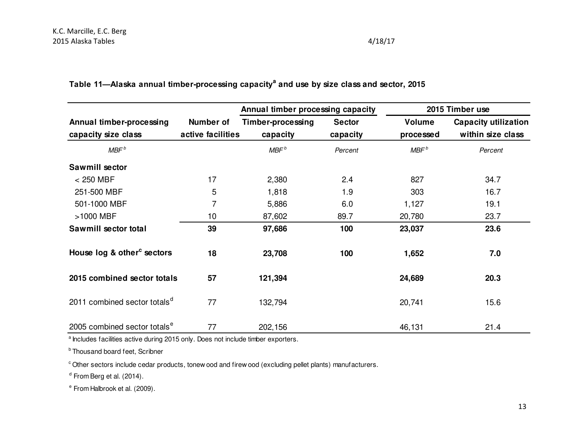|                                                 |                                | Annual timber processing capacity |                           | 2015 Timber use     |                                                  |  |
|-------------------------------------------------|--------------------------------|-----------------------------------|---------------------------|---------------------|--------------------------------------------------|--|
| Annual timber-processing<br>capacity size class | Number of<br>active facilities | Timber-processing<br>capacity     | <b>Sector</b><br>capacity | Volume<br>processed | <b>Capacity utilization</b><br>within size class |  |
| MBF <sup>b</sup>                                |                                | MBF <sup>b</sup>                  | Percent                   | MBF <sup>b</sup>    | Percent                                          |  |
| Sawmill sector                                  |                                |                                   |                           |                     |                                                  |  |
| $< 250$ MBF                                     | 17                             | 2,380                             | 2.4                       | 827                 | 34.7                                             |  |
| 251-500 MBF                                     | 5                              | 1,818                             | 1.9                       | 303                 | 16.7                                             |  |
| 501-1000 MBF                                    | 7                              | 5,886                             | 6.0                       | 1,127               | 19.1                                             |  |
| >1000 MBF                                       | 10                             | 87,602                            | 89.7                      | 20,780              | 23.7                                             |  |
| Sawmill sector total                            | 39                             | 97,686                            | 100                       | 23,037              | 23.6                                             |  |
| House log & other <sup>c</sup> sectors          | 18                             | 23,708                            | 100                       | 1,652               | 7.0                                              |  |
| 2015 combined sector totals                     | 57                             | 121,394                           |                           | 24,689              | 20.3                                             |  |
| 2011 combined sector totals <sup>d</sup>        | 77                             | 132,794                           |                           | 20,741              | 15.6                                             |  |
| 2005 combined sector totals <sup>e</sup>        | 77                             | 202,156                           |                           | 46,131              | 21.4                                             |  |

**Table 11—Alaska annual timber-processing capacity<sup>a</sup> and use by size class and sector, 2015**

<sup>a</sup> Includes facilities active during 2015 only. Does not include timber exporters.

**b** Thousand board feet, Scribner

c Other sectors include cedar products, tonew ood and firew ood (excluding pellet plants) manufacturers.

<sup>d</sup> From Berg et al. (2014).

e From Halbrook et al. (2009).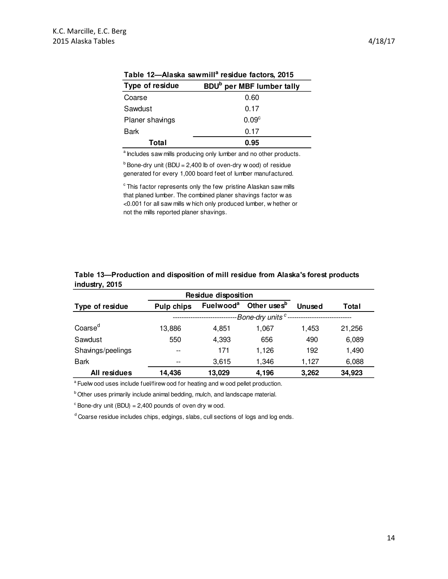| <b>Type of residue</b> | BDU <sup>b</sup> per MBF lumber tally |
|------------------------|---------------------------------------|
| Coarse                 | 0.60                                  |
| Sawdust                | 0.17                                  |
| Planer shavings        | 0.09 <sup>c</sup>                     |
| Bark                   | 0.17                                  |
| Total                  | 0.95                                  |

**Table 12—Alaska sawmill<sup>a</sup> residue factors, 2015**

<sup>a</sup> Includes saw mills producing only lumber and no other products.

 $<sup>b</sup>$  Bone-dry unit (BDU = 2,400 lb of oven-dry w ood) of residue</sup> generated for every 1,000 board feet of lumber manufactured.

 $\textdegree$  This factor represents only the few pristine Alaskan saw mills that planed lumber. The combined planer shavings factor w as <0.001 for all saw mills w hich only produced lumber, w hether or not the mills reported planer shavings.

|                     | <b>Residue disposition</b>      |                       |                         |        |        |  |  |
|---------------------|---------------------------------|-----------------------|-------------------------|--------|--------|--|--|
| Type of residue     | <b>Pulp chips</b>               | Fuelwood <sup>a</sup> | Other uses <sup>b</sup> | Unused | Total  |  |  |
|                     | -Bone-dry units <sup>c</sup> -- |                       |                         |        |        |  |  |
| Coarse <sup>d</sup> | 13,886                          | 4.851                 | 1.067                   | 1.453  | 21,256 |  |  |
| Sawdust             | 550                             | 4,393                 | 656                     | 490    | 6,089  |  |  |
| Shavings/peelings   | $- -$                           | 171                   | 1,126                   | 192    | 1,490  |  |  |
| <b>Bark</b>         | --                              | 3.615                 | 1,346                   | 1.127  | 6,088  |  |  |
| All residues        | 14,436                          | 13,029                | 4.196                   | 3,262  | 34,923 |  |  |

**Table 13—Production and disposition of mill residue from Alaska's forest products industry, 2015**

<sup>a</sup> Fuelw ood uses include fuel/firew ood for heating and w ood pellet production.

b Other uses primarily include animal bedding, mulch, and landscape material.

 $\textdegree$  Bone-dry unit (BDU) = 2,400 pounds of oven dry w ood.

<sup>d</sup> Coarse residue includes chips, edgings, slabs, cull sections of logs and log ends.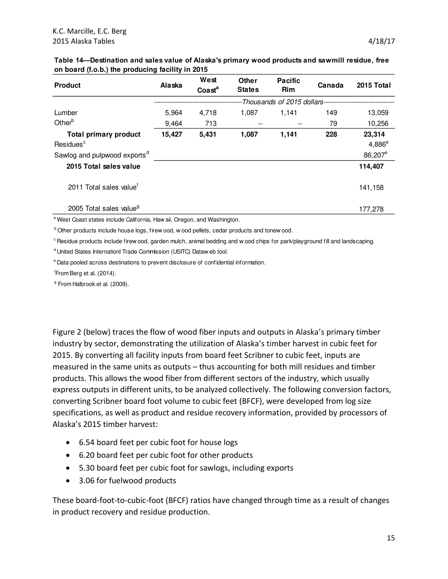| <b>Product</b>                           | Alaska | West<br>$\text{Coast}^a$ | <b>Other</b><br><b>States</b> | <b>Pacific</b><br><b>Rim</b> | Canada | 2015 Total          |
|------------------------------------------|--------|--------------------------|-------------------------------|------------------------------|--------|---------------------|
|                                          |        |                          |                               | -Thousands of 2015 dollars-- |        |                     |
| Lumber                                   | 5,964  | 4.718                    | 1.087                         | 1.141                        | 149    | 13,059              |
| Other <sup>b</sup>                       | 9,464  | 713                      | --                            |                              | 79     | 10,256              |
| <b>Total primary product</b>             | 15,427 | 5,431                    | 1,087                         | 1,141                        | 228    | 23,314              |
| Residues <sup>c</sup>                    |        |                          |                               |                              |        | $4,886^e$           |
| Sawlog and pulpwood exports <sup>d</sup> |        |                          |                               |                              |        | 86,207 <sup>e</sup> |
| 2015 Total sales value                   |        |                          |                               |                              |        | 114,407             |
| 2011 Total sales value <sup>f</sup>      |        |                          |                               |                              |        | 141,158             |
| 2005 Total sales value <sup>9</sup>      |        |                          |                               |                              |        | 177.278             |

#### **Table 14—Destination and sales value of Alaska's primary wood products and sawmill residue, free on board (f.o.b.) the producing facility in 2015**

a West Coast states include California, Haw aii, Oregon, and Washington.

**b** Other products include house logs, firew ood, w ood pellets, cedar products and tonew ood.

 $c$  Residue products include firew ood, garden mulch, animal bedding and w ood chips for park/playground fill and landscaping.

<sup>d</sup> United States Internationl Trade Commission (USITC) Dataw eb tool.

e Data pooled across destinations to prevent disclosure of confidential information.

<sup>f</sup>From Berg et al. (2014).

<sup>g</sup> From Halbrook et al. (2009).

Figure 2 (below) traces the flow of wood fiber inputs and outputs in Alaska's primary timber industry by sector, demonstrating the utilization of Alaska's timber harvest in cubic feet for 2015. By converting all facility inputs from board feet Scribner to cubic feet, inputs are measured in the same units as outputs – thus accounting for both mill residues and timber products. This allows the wood fiber from different sectors of the industry, which usually express outputs in different units, to be analyzed collectively. The following conversion factors, converting Scribner board foot volume to cubic feet (BFCF), were developed from log size specifications, as well as product and residue recovery information, provided by processors of Alaska's 2015 timber harvest:

- 6.54 board feet per cubic foot for house logs
- 6.20 board feet per cubic foot for other products
- 5.30 board feet per cubic foot for sawlogs, including exports
- 3.06 for fuelwood products

These board-foot-to-cubic-foot (BFCF) ratios have changed through time as a result of changes in product recovery and residue production.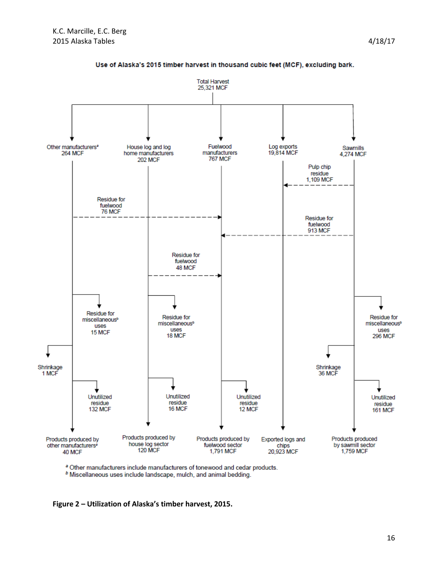

#### Use of Alaska's 2015 timber harvest in thousand cubic feet (MCF), excluding bark.

<sup>a</sup> Other manufacturers include manufacturers of tonewood and cedar products.

b Miscellaneous uses include landscape, mulch, and animal bedding.

**Figure 2 – Utilization of Alaska's timber harvest, 2015.**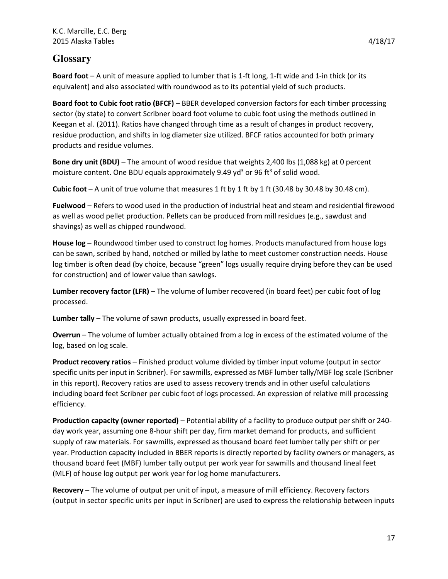# **Glossary**

**Board foot** – A unit of measure applied to lumber that is 1-ft long, 1-ft wide and 1-in thick (or its equivalent) and also associated with roundwood as to its potential yield of such products.

**Board foot to Cubic foot ratio (BFCF)** – BBER developed conversion factors for each timber processing sector (by state) to convert Scribner board foot volume to cubic foot using the methods outlined in Keegan et al. (2011). Ratios have changed through time as a result of changes in product recovery, residue production, and shifts in log diameter size utilized. BFCF ratios accounted for both primary products and residue volumes.

**Bone dry unit (BDU)** – The amount of wood residue that weights 2,400 lbs (1,088 kg) at 0 percent moisture content. One BDU equals approximately 9.49 yd<sup>3</sup> or 96 ft<sup>3</sup> of solid wood.

**Cubic foot**  $- A$  unit of true volume that measures 1 ft by 1 ft by 1 ft (30.48 by 30.48 by 30.48 cm).

**Fuelwood** – Refers to wood used in the production of industrial heat and steam and residential firewood as well as wood pellet production. Pellets can be produced from mill residues (e.g., sawdust and shavings) as well as chipped roundwood.

**House log** – Roundwood timber used to construct log homes. Products manufactured from house logs can be sawn, scribed by hand, notched or milled by lathe to meet customer construction needs. House log timber is often dead (by choice, because "green" logs usually require drying before they can be used for construction) and of lower value than sawlogs.

**Lumber recovery factor (LFR)** – The volume of lumber recovered (in board feet) per cubic foot of log processed.

**Lumber tally** – The volume of sawn products, usually expressed in board feet.

**Overrun** – The volume of lumber actually obtained from a log in excess of the estimated volume of the log, based on log scale.

**Product recovery ratios** – Finished product volume divided by timber input volume (output in sector specific units per input in Scribner). For sawmills, expressed as MBF lumber tally/MBF log scale (Scribner in this report). Recovery ratios are used to assess recovery trends and in other useful calculations including board feet Scribner per cubic foot of logs processed. An expression of relative mill processing efficiency.

**Production capacity (owner reported)** – Potential ability of a facility to produce output per shift or 240 day work year, assuming one 8-hour shift per day, firm market demand for products, and sufficient supply of raw materials. For sawmills, expressed as thousand board feet lumber tally per shift or per year. Production capacity included in BBER reports is directly reported by facility owners or managers, as thousand board feet (MBF) lumber tally output per work year for sawmills and thousand lineal feet (MLF) of house log output per work year for log home manufacturers.

**Recovery** – The volume of output per unit of input, a measure of mill efficiency. Recovery factors (output in sector specific units per input in Scribner) are used to express the relationship between inputs